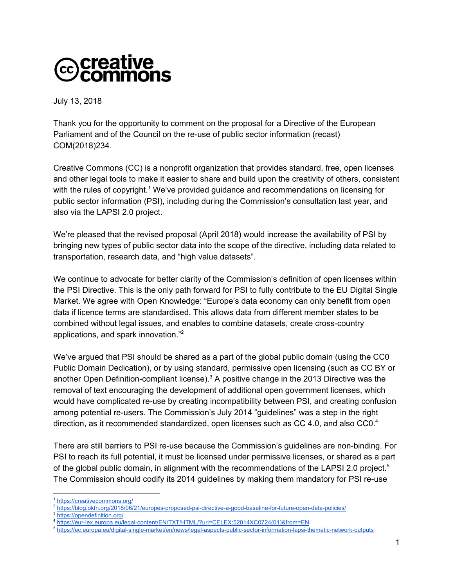## **@creative**<br>©commons

July 13, 2018

Thank you for the opportunity to comment on the proposal for a Directive of the European Parliament and of the Council on the re-use of public sector information (recast) COM(2018)234.

Creative Commons (CC) is a nonprofit organization that provides standard, free, open licenses and other legal tools to make it easier to share and build upon the creativity of others, consistent with the rules of copyright.<sup>1</sup> We've provided guidance and recommendations on licensing for public sector information (PSI), including during the Commission's consultation last year, and also via the LAPSI 2.0 project.

We're pleased that the revised proposal (April 2018) would increase the availability of PSI by bringing new types of public sector data into the scope of the directive, including data related to transportation, research data, and "high value datasets".

We continue to advocate for better clarity of the Commission's definition of open licenses within the PSI Directive. This is the only path forward for PSI to fully contribute to the EU Digital Single Market. We agree with Open Knowledge: "Europe's data economy can only benefit from open data if licence terms are standardised. This allows data from different member states to be combined without legal issues, and enables to combine datasets, create cross-country applications, and spark innovation." 2

We've argued that PSI should be shared as a part of the global public domain (using the CC0 Public Domain Dedication), or by using standard, permissive open licensing (such as CC BY or another Open Definition-compliant license). $3$  A positive change in the 2013 Directive was the removal of text encouraging the development of additional open government licenses, which would have complicated re-use by creating incompatibility between PSI, and creating confusion among potential re-users. The Commission's July 2014 "guidelines" was a step in the right direction, as it recommended standardized, open licenses such as CC 4.0, and also CC0.<sup>4</sup>

There are still barriers to PSI re-use because the Commission's guidelines are non-binding. For PSI to reach its full potential, it must be licensed under permissive licenses, or shared as a part of the global public domain, in alignment with the recommendations of the LAPSI 2.0 project.<sup>5</sup> The Commission should codify its 2014 guidelines by making them mandatory for PSI re-use

<https://creativecommons.org/>

<sup>2</sup> <https://blog.okfn.org/2018/06/21/europes-proposed-psi-directive-a-good-baseline-for-future-open-data-policies/>

<sup>3</sup> <https://opendefinition.org/>

<sup>4</sup> [https://eur-lex.europa.eu/legal-content/EN/TXT/HTML/?uri=CELEX:52014XC0724\(01\)&from=EN](https://eur-lex.europa.eu/legal-content/EN/TXT/HTML/?uri=CELEX:52014XC0724(01)&from=EN)

<sup>5</sup> <https://ec.europa.eu/digital-single-market/en/news/legal-aspects-public-sector-information-lapsi-thematic-network-outputs>